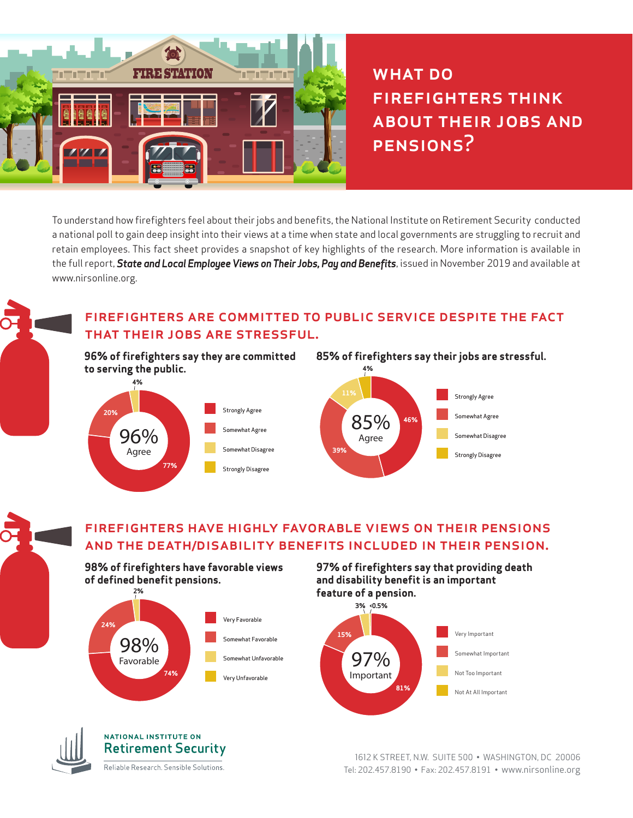

WHAT DO firefighters think about their jobs and PENSIONS?

To understand how firefighters feel about their jobs and benefits, the National Institute on Retirement Security conducted a national poll to gain deep insight into their views at a time when state and local governments are struggling to recruit and retain employees. This fact sheet provides a snapshot of key highlights of the research. More information is available in the full report, *State and Local Employee Views on Their Jobs, Pay and Benefits*, issued in November 2019 and available at www.nirsonline.org.

# firefighters are committed to public service despite the fact that their jobs are stressful.

**96% of firefighters say they are committed to serving the public.** 



![](_page_0_Figure_6.jpeg)

## firefighters have highly favorable views on their pensions and the death/disability benefits included in their pension.

**98% of firefighters have favorable views of defined benefit pensions.** 

![](_page_0_Figure_9.jpeg)

#### **97% of firefighters say that providing death and disability benefit is an important feature of a pension.**

![](_page_0_Figure_11.jpeg)

![](_page_0_Picture_12.jpeg)

### **NATIONAL INSTITUTE ON Retirement Security**

Reliable Research. Sensible Solutions.